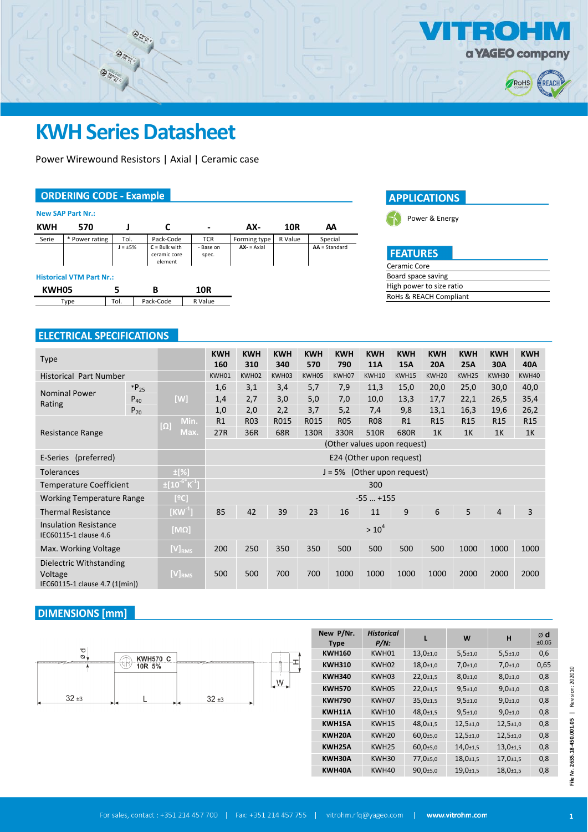

# **KWH Series Datasheet**

Entre establec<br>Entre establec<br>Entre establec

 $\bigotimes_{t_{\alpha_i}}$ 

Power Wirewound Resistors | Axial | Ceramic case

## **ORDERING CODE - Example**

|            | <b>New SAP Part Nr.:</b>        |              |                                            |                    |              |         |                 |  |  |  |
|------------|---------------------------------|--------------|--------------------------------------------|--------------------|--------------|---------|-----------------|--|--|--|
| <b>KWH</b> | 570                             |              |                                            | -                  | AX-          | 10R     | АΑ              |  |  |  |
| Serie      | * Power rating                  | Tol.         | Pack-Code                                  | <b>TCR</b>         | Forming type | R Value | Special         |  |  |  |
|            |                                 | $J = \pm 5%$ | $C =$ Bulk with<br>ceramic core<br>element | - Base on<br>spec. | $AX = Axial$ |         | $AA = Standard$ |  |  |  |
|            | <b>Historical VTM Part Nr.:</b> |              |                                            |                    |              |         |                 |  |  |  |
| KWH05      |                                 | 5            | в                                          | 10R                |              |         |                 |  |  |  |
|            | Type                            | Tol.         | Pack-Code                                  | R Value            |              |         |                 |  |  |  |



Power & Energy

| <b>I FEATURE</b> |  |
|------------------|--|
| Ceramic Core     |  |

| Board space saving       |
|--------------------------|
| High power to size ratio |
| RoHs & REACH Compliant   |

## **ELECTRICAL SPECIFICATIONS**

| <b>Type</b>                                                          |          |                           | <b>KWH</b>                    | <b>KWH</b> | <b>KWH</b> | <b>KWH</b> | <b>KWH</b> | <b>KWH</b> | <b>KWH</b> | <b>KWH</b>        | <b>KWH</b>      | <b>KWH</b>      | <b>KWH</b>      |
|----------------------------------------------------------------------|----------|---------------------------|-------------------------------|------------|------------|------------|------------|------------|------------|-------------------|-----------------|-----------------|-----------------|
|                                                                      |          |                           | 160                           | 310        | 340        | 570        | 790        | <b>11A</b> | <b>15A</b> | <b>20A</b>        | <b>25A</b>      | 30A             | 40A             |
| <b>Historical Part Number</b>                                        |          |                           | KWH01                         | KWH02      | KWH03      | KWH05      | KWH07      | KWH10      | KWH15      | KWH <sub>20</sub> | KWH25           | KWH30           | KWH40           |
| $*P_{25}$                                                            |          |                           | 1,6                           | 3,1        | 3,4        | 5,7        | 7,9        | 11,3       | 15,0       | 20,0              | 25,0            | 30,0            | 40,0            |
| <b>Nominal Power</b><br>Rating                                       | $P_{40}$ | [W]                       | 1,4                           | 2,7        | 3,0        | 5,0        | 7,0        | 10,0       | 13,3       | 17,7              | 22,1            | 26,5            | 35,4            |
|                                                                      | $P_{70}$ |                           | 1,0                           | 2,0        | 2,2        | 3,7        | 5,2        | 7,4        | 9,8        | 13,1              | 16,3            | 19,6            | 26,2            |
|                                                                      |          | Min.<br>$[ \Omega ]$      | R1                            | <b>R03</b> | R015       | R015       | <b>R05</b> | <b>R08</b> | R1         | R <sub>15</sub>   | R <sub>15</sub> | R <sub>15</sub> | R <sub>15</sub> |
| Resistance Range                                                     |          | Max.                      | 27R                           | 36R        | 68R        | 130R       | 330R       | 510R       | 680R       | 1 <sup>K</sup>    | 1K              | 1K              | 1K              |
|                                                                      |          |                           | (Other values upon request)   |            |            |            |            |            |            |                   |                 |                 |                 |
| E-Series (preferred)                                                 |          |                           | E24 (Other upon request)      |            |            |            |            |            |            |                   |                 |                 |                 |
| <b>Tolerances</b>                                                    |          | $\pm$ [%]                 | $J = 5%$ (Other upon request) |            |            |            |            |            |            |                   |                 |                 |                 |
| <b>Temperature Coefficient</b>                                       |          | $\pm 10^{-6}$ K $^{-1}$ ] | 300                           |            |            |            |            |            |            |                   |                 |                 |                 |
| <b>Working Temperature Range</b>                                     |          | [°C]                      | $-55$ $+155$                  |            |            |            |            |            |            |                   |                 |                 |                 |
| <b>Thermal Resistance</b>                                            |          | [KW $^1$ ]                | 85                            | 42         | 39         | 23         | 16         | 11         | 9          | 6                 | 5               | $\overline{4}$  | 3               |
| <b>Insulation Resistance</b><br>IEC60115-1 clause 4.6                |          | [MΩ]                      | $> 10^4$                      |            |            |            |            |            |            |                   |                 |                 |                 |
| Max. Working Voltage                                                 |          | $[V]_{RMS}$               | 200                           | 250        | 350        | 350        | 500        | 500        | 500        | 500               | 1000            | 1000            | 1000            |
| Dielectric Withstanding<br>Voltage<br>IEC60115-1 clause 4.7 (1[min]) |          | $[V]_{RMS}$               | 500                           | 500        | 700        | 700        | 1000       | 1000       | 1000       | 1000              | 2000            | 2000            | 2000            |

## **DIMENSIONS** [mm]



| New P/Nr.<br><b>Type</b> | <b>Historical</b><br>$P/N$ : | L                           | W                           | н                           | ød<br>±0,05 |
|--------------------------|------------------------------|-----------------------------|-----------------------------|-----------------------------|-------------|
| <b>KWH160</b>            | KWH01                        | $13,0+1,0$                  | $5,5{\scriptstyle \pm1,0}$  | $5,5{\scriptstyle \pm1,0}$  | 0,6         |
| <b>KWH310</b>            | KWH <sub>02</sub>            | $18,0{\scriptstyle \pm1,0}$ | $7,0+1,0$                   | $7,0+1,0$                   | 0,65        |
| <b>KWH340</b>            | KWH <sub>03</sub>            | $22,0+1,5$                  | $8,0+1,0$                   | $8,0+1,0$                   | 0,8         |
| <b>KWH570</b>            | KWH05                        | $22,0+1,5$                  | $9,5+1,0$                   | $9,0+1,0$                   | 0,8         |
| <b>KWH790</b>            | KWH07                        | $35,0+1,5$                  | $9,5{\scriptstyle \pm1,0}$  | $9,0+1,0$                   | 0,8         |
| KWH11A                   | <b>KWH10</b>                 | $48.0 \pm 1.5$              | $9,5+1,0$                   | $9,0+1,0$                   | 0,8         |
| KWH15A                   | <b>KWH15</b>                 | $48,0{\scriptstyle \pm1,5}$ | $12,5{\scriptstyle \pm1,0}$ | $12,5{\scriptstyle \pm1,0}$ | 0,8         |
| KWH20A                   | KWH <sub>20</sub>            | $60,0{\scriptstyle \pm}5,0$ | $12,5{\scriptstyle \pm1,0}$ | $12,5{\scriptstyle \pm1,0}$ | 0,8         |
| KWH25A                   | KWH <sub>25</sub>            | $60,0{\scriptstyle \pm}5,0$ | $14,0+1,5$                  | $13,0+1,5$                  | 0,8         |
| KWH30A                   | KWH30                        | 77,0±5,0                    | $18,0+1,5$                  | $17,0+1,5$                  | 0,8         |
| KWH40A                   | KWH40                        | $90,0+5,0$                  | $19,0+1,5$                  | $18,0+1,5$                  | 0,8         |

File Nr. 2635.18-450.001.05 | Revision: 202010 **1File Nr. 2635.18-450.001.05 |** Revision: 202010